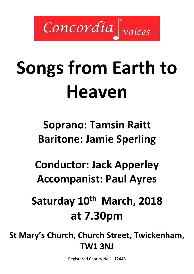

# **Songs from Earth to Heaven**

**Soprano: Tamsin Raitt Baritone: Jamie Sperling**

**Conductor: Jack Apperley Accompanist: Paul Ayres**

**Saturday 10th March, 2018 at 7.30pm**

**St Mary's Church, Church Street, Twickenham, TW1 3NJ** 

Registered Charity No 1112448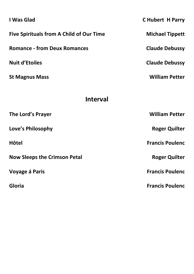| I Was Glad                                      | <b>C Hubert H Parry</b> |  |
|-------------------------------------------------|-------------------------|--|
| <b>Five Spirituals from A Child of Our Time</b> | <b>Michael Tippett</b>  |  |
| <b>Romance - from Deux Romances</b>             | <b>Claude Debussy</b>   |  |
| <b>Nuit d'Etoiles</b>                           | <b>Claude Debussy</b>   |  |
| <b>St Magnus Mass</b>                           | <b>William Petter</b>   |  |
|                                                 |                         |  |
| <b>Interval</b>                                 |                         |  |
| The Lord's Prayer                               | <b>William Petter</b>   |  |
| Love's Philosophy                               | <b>Roger Quilter</b>    |  |
| <b>Hôtel</b>                                    | <b>Francis Poulenc</b>  |  |
| <b>Now Sleeps the Crimson Petal</b>             | <b>Roger Quilter</b>    |  |
| Voyage á Paris                                  | <b>Francis Poulenc</b>  |  |
| Gloria                                          | <b>Francis Poulenc</b>  |  |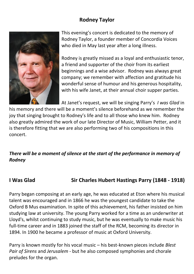#### **Rodney Taylor**



This evening's concert is dedicated to the memory of Rodney Taylor, a founder member of Concordia Voices who died in May last year after a long illness.

Rodney is greatly missed as a loyal and enthusiastic tenor, a friend and supporter of the choir from its earliest beginnings and a wise advisor. Rodney was always great company; we remember with affection and gratitude his wonderful sense of humour and his generous hospitality, with his wife Janet, at their annual choir supper parties.

At Janet's request, we will be singing Parry's *I was Glad* in

his memory and there will be a moment's silence beforehand as we remember the joy that singing brought to Rodney's life and to all those who knew him. Rodney also greatly admired the work of our late Director of Music, William Petter, and it is therefore fitting that we are also performing two of his compositions in this concert.

#### *There will be a moment of silence at the start of the performance in memory of Rodney*

#### **I Was Glad Sir Charles Hubert Hastings Parry (1848 - 1918)**

Parry began composing at an early age, he was educated at Eton where his musical talent was encouraged and in 1866 he was the youngest candidate to take the Oxford B Mus examination. In spite of this achievement, his father insisted on him studying law at university. The young Parry worked for a time as an underwriter at Lloyd's, whilst continuing to study music, but he was eventually to make music his full-time career and in 1883 joined the staff of the RCM, becoming its director in 1894. In 1900 he became a professor of music at Oxford University.

Parry is known mostly for his vocal music – his best-known pieces include *Blest Pair of Sirens* and *Jerusalem* - but he also composed symphonies and chorale preludes for the organ.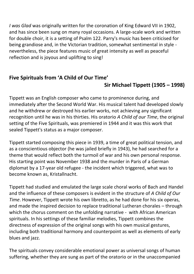*I was Glad* was originally written for the coronation of King Edward VII in 1902, and has since been sung on many royal occasions. A large-scale work and written for double choir, it is a setting of Psalm 122. Parry's music has been criticised for being grandiose and, in the Victorian tradition, somewhat sentimental in style nevertheless, the piece features music of great intensity as well as peaceful reflection and is joyous and uplifting to sing!

### **Five Spirituals from 'A Child of Our Time'**

### **Sir Michael Tippett (1905 – 1998)**

Tippett was an English composer who came to prominence during, and immediately after the Second World War. His musical talent had developed slowly and he withdrew or destroyed his earlier works, not achieving any significant recognition until he was in his thirties. His oratorio *A Child of our Time*, the original setting of the Five Spirituals, was premiered in 1944 and it was this work that sealed Tippett's status as a major composer.

Tippett started composing this piece in 1939, a time of great political tension, and as a conscientious objector (he was jailed briefly in 1943), he had searched for a theme that would reflect both the turmoil of war and his own personal response. His starting point was November 1938 and the murder in Paris of a German diplomat by a 17-year old refugee - the incident which triggered, what was to become known as, Kristallnacht.

Tippett had studied and emulated the large scale choral works of Bach and Handel and the influence of these composers is evident in the structure of *A Child of Our Time*. However, Tippett wrote his own libretto, as he had done for his six operas, and made the inspired decision to replace traditional Lutheran chorales – through which the chorus comment on the unfolding narrative - with African American spirituals. In his settings of these familiar melodies, Tippett combines the directness of expression of the original songs with his own musical gestures, including both traditional harmony and counterpoint as well as elements of early blues and jazz.

The spirituals convey considerable emotional power as universal songs of human suffering, whether they are sung as part of the oratorio or in the unaccompanied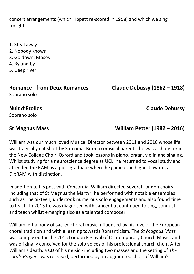concert arrangements (which Tippett re-scored in 1958) and which we sing tonight.

- 1. Steal away
- 2. Nobody knows
- 3. Go down, Moses
- 4. By and by
- 5. Deep river

## **Romance - from Deux Romances Claude Debussy (1862 – 1918)**

Soprano solo

**St Magnus Mass William Petter (1982 – 2016)**

William was our much loved Musical Director between 2011 and 2016 whose life was tragically cut short by Sarcoma. Born to musical parents, he was a chorister in the New College Choir, Oxford and took lessons in piano, organ, violin and singing. Whilst studying for a neuroscience degree at UCL, he returned to vocal study and attended the RAM as a post-graduate where he gained the highest award, a DipRAM with distinction.

In addition to his post with Concordia, William directed several London choirs including that of St Magnus the Martyr, he performed with notable ensembles such as The Sixteen, undertook numerous solo engagements and also found time to teach. In 2013 he was diagnosed with cancer but continued to sing, conduct and teach whilst emerging also as a talented composer.

William left a body of sacred choral music influenced by his love of the European choral tradition and with a leaning towards Romanticism. The *St Magnus Mass* was composed for the 2015 London Festival of Contemporary Church Music, and was originally conceived for the solo voices of his professional church choir. After William's death, a CD of his music - including two masses and the setting of *The Lord's Prayer* - was released, performed by an augmented choir of William's

## Soprano solo

**Nuit d'Etoiles Claude Debussy**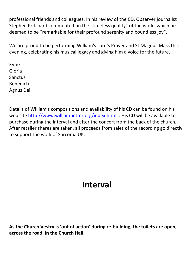professional friends and colleagues. In his review of the CD, Observer journalist Stephen Pritchard commented on the "timeless quality" of the works which he deemed to be "remarkable for their profound serenity and boundless joy".

We are proud to be performing William's Lord's Prayer and St Magnus Mass this evening, celebrating his musical legacy and giving him a voice for the future.

Kyrie Gloria Sanctus Benedictus Agnus Dei

Details of William's compositions and availability of his CD can be found on his web site<http://www.williampetter.org/index.html>. His CD will be available to purchase during the interval and after the concert from the back of the church. After retailer shares are taken, all proceeds from sales of the recording go directly to support the work of Sarcoma UK.

## **Interval**

**As the Church Vestry is 'out of action' during re-building, the toilets are open, across the road, in the Church Hall.**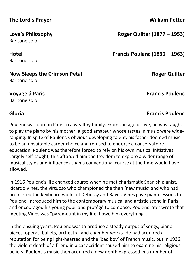#### **The Lord's Prayer William Petter**

Baritone solo

Baritone solo

#### **Now Sleeps the Crimson Petal <b>Roger Quilter Roger Quilter** Baritone solo

Baritone solo

Poulenc was born in Paris to a wealthy family. From the age of five, he was taught to play the piano by his mother, a good amateur whose tastes in music were wideranging. In spite of Poulenc's obvious developing talent, his father deemed music to be an unsuitable career choice and refused to endorse a conservatoire education. Poulenc was therefore forced to rely on his own musical initiatives. Largely self-taught, this afforded him the freedom to explore a wider range of musical styles and influences than a conventional course at the time would have allowed.

In 1916 Poulenc's life changed course when he met charismatic Spanish pianist, Ricardo Vines, the virtuoso who championed the then 'new music' and who had premiered the keyboard works of Debussy and Ravel. Vines gave piano lessons to Poulenc, introduced him to the contemporary musical and artistic scene in Paris and encouraged his young pupil and protégé to compose. Poulenc later wrote that meeting Vines was "paramount in my life: I owe him everything".

In the ensuing years, Poulenc was to produce a steady output of songs, piano pieces, operas, ballets, orchestral and chamber works. He had acquired a reputation for being light-hearted and the 'bad boy' of French music, but in 1936, the violent death of a friend in a car accident caused him to examine his religious beliefs. Poulenc's music then acquired a new depth expressed in a number of

**Love's Philosophy Roger Quilter (1877 – 1953)**

**Hôtel Francis Poulenc (1899 – 1963)**

**Voyage á Paris Francis Poulenc**

## **Gloria Francis Poulenc**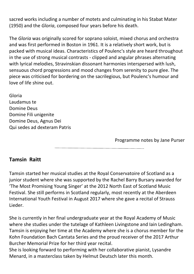sacred works including a number of motets and culminating in his Stabat Mater (1950) and the *Gloria*, composed four years before his death.

The *Gloria* was originally scored for soprano soloist, mixed chorus and orchestra and was first performed in Boston in 1961. It is a relatively short work, but is packed with musical ideas. Characteristics of Poulenc's style are heard throughout in the use of strong musical contrasts - clipped and angular phrases alternating with lyrical melodies, Stravinskian dissonant harmonies interspersed with lush, sensuous chord progressions and mood changes from serenity to pure glee. The piece was criticised for bordering on the sacrilegious, but Poulenc's humour and love of life shine out.

Gloria Laudamus te Domine Deus Domine Fili unigenite Domine Deus, Agnus Dei Qui sedes ad dexteram Patris

Programme notes by Jane Purser

#### **Tamsin Raitt**

Tamsin started her musical studies at the Royal Conservatoire of Scotland as a junior student where she was supported by the Rachel Barry Bursary awarded for 'The Most Promising Young Singer' at the 2012 North East of Scotland Music Festival. She still performs in Scotland regularly, most recently at the Aberdeen International Youth Festival in August 2017 where she gave a recital of Strauss Lieder.

She is currently in her final undergraduate year at the Royal Academy of Music where she studies under the tutelage of Kathleen Livingstone and Iain Ledingham. Tamsin is enjoying her time at the Academy where she is a chorus member for the Kohn Foundation Bach Cantata Series and the proud receiver of the 2017 Arthur Burcher Memorial Prize for her third year recital.

She is looking forward to performing with her collaborative pianist, Lysandre Menard, in a masterclass taken by Helmut Deutsch later this month.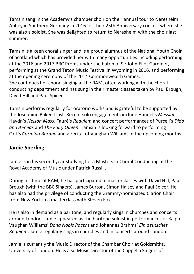Tamsin sang in the Academy's chamber choir on their annual tour to Neresheim Abbey in Southern Germany in 2016 for their 25th Anniversary concert where she was also a soloist. She was delighted to return to Neresheim with the choir last summer.

Tamsin is a keen choral singer and is a proud alumnus of the National Youth Choir of Scotland which has provided her with many opportunities including performing at the 2016 and 2017 BBC Proms under the baton of Sir John Eliot Gardiner, performing at the Grand Teton Music Festival in Wyoming in 2016, and performing at the opening ceremony of the 2014 Commonwealth Games. She continues her choral singing at the RAM, often working with the choral conducting department and has sung in their masterclasses taken by Paul Brough, David Hill and Paul Spicer.

Tamsin performs regularly for oratorio works and is grateful to be supported by the Josephine Baker Trust. Recent solo engagements include Handel's *Messiah*, Haydn's *Nelson Mass*, Fauré's *Requiem* and concert performances of Purcell's *Dido and Aeneas* and *The Fairy Queen*. Tamsin is looking forward to performing Orff's *Carmina Burana* and a recital of Vaughan Williams in the upcoming months.

### **Jamie Sperling**

Jamie is in his second year studying for a Masters in Choral Conducting at the Royal Academy of Music under Patrick Russill.

During his time at RAM, he has participated in masterclasses with David Hill, Paul Brough (with the BBC Singers), James Burton, Simon Halsey and Paul Spicer. He has also had the privilege of conducting the Grammy-nominated Clarion Choir from New York in a masterclass with Steven Fox.

He is also in demand as a baritone, and regularly sings in churches and concerts around London. Jamie appeared as the baritone soloist in performances of Ralph Vaughan Williams' *Dona Nobis Pacem* and Johannes Brahms' *Ein deutsches Requiem*. Jamie regularly sings in churches and in concerts around London.

Jamie is currently the Music Director of the Chamber Choir at Goldsmiths, University of London. He is also Music Director of the Cappella Singers of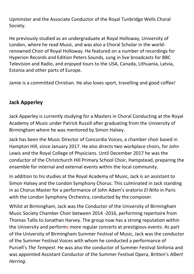Upminster and the Associate Conductor of the Royal Tunbridge Wells Choral Society.

He previously studied as an undergraduate at Royal Holloway, University of London, where he read Music, and was also a Choral Scholar in the worldrenowned Choir of Royal Holloway. He featured on a number of recordings for Hyperion Records and Edition Peters Sounds, sung in live broadcasts for BBC Television and Radio, and enjoyed tours to the USA, Canada, Lithuania, Latvia, Estonia and other parts of Europe.

Jamie is a committed Christian. He also loves sport, travelling and good coffee!

#### **Jack Apperley**

Jack Apperley is currently studying for a Masters in Choral Conducting at the Royal Academy of Music under Patrick Russill after graduating from the University of Birmingham where he was mentored by Simon Halsey.

Jack has been the Music Director of Concordia Voices, a chamber choir based in Hampton Hill, since January 2017. He also directs two workplace choirs, for John Lewis and the Royal College of Physicians. Until December 2017 he was the conductor of the Christchurch Hill Primary School Choir, Hampstead, preparing the ensemble for internal and external events within the local community.

In addition to his studies at the Royal Academy of Music, Jack is an assistant to Simon Halsey and the London Symphony Chorus. This culminated in Jack standing in as Chorus Master for a performance of John Adam's oratorio *El Niňo* in Paris with the London Symphony Orchestra, conducted by the composer.

Whilst at Birmingham, Jack was the Conductor of the University of Birmingham Music Society Chamber Choir between 2014 -2016, performing repertoire from Thomas Tallis to Jonathan Harvey. The group now has a strong reputation within the University and performs more regular concerts at prestigious events. As part of the University of Birmingham Summer Festival of Music, Jack was the conductor of the Summer Festival Voices with whom he conducted a performance of Purcell's *The Tempest*. He was also the conductor of Summer Festival Sinfonia and was appointed Assistant Conductor of the Summer Festival Opera, Britten's *Albert Herring*.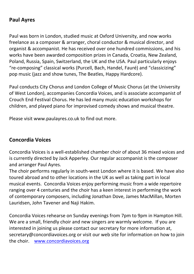#### **Paul Ayres**

Paul was born in London, studied music at Oxford University, and now works freelance as a composer & arranger, choral conductor & musical director, and organist & accompanist. He has received over one hundred commissions, and his works have been awarded composition prizes in Canada, Croatia, New Zealand, Poland, Russia, Spain, Switzerland, the UK and the USA. Paul particularly enjoys "re-composing" classical works (Purcell, Bach, Handel, Fauré) and "classicizing" pop music (jazz and show tunes, The Beatles, Happy Hardcore).

Paul conducts City Chorus and London College of Music Chorus (at the University of West London), accompanies Concordia Voices, and is associate accompanist of Crouch End Festival Chorus. He has led many music education workshops for children, and played piano for improvised comedy shows and musical theatre.

Please visit www.paulayres.co.uk to find out more.

#### **Concordia Voices**

Concordia Voices is a well-established chamber choir of about 36 mixed voices and is currently directed by Jack Apperley. Our regular accompanist is the composer and arranger Paul Ayres.

The choir performs regularly in south-west London where it is based. We have also toured abroad and to other locations in the UK as well as taking part in local musical events. Concordia Voices enjoy performing music from a wide repertoire ranging over 4 centuries and the choir has a keen interest in performing the work of contemporary composers, including Jonathan Dove, James MacMillan, Morten Lauridsen, John Tavener and Naji Hakim.

Concordia Voices rehearse on Sunday evenings from 7pm to 9pm in Hampton Hill. We are a small, friendly choir and new singers are warmly welcome. If you are interested in joining us please contact our secretary for more information at, [secretary@concordiavoices.org](mailto:secretary@concordiavoices.org) or visit our web site for information on how to join the choir. [www.concordiavoices.org](http://www.concordiavoices.org/)